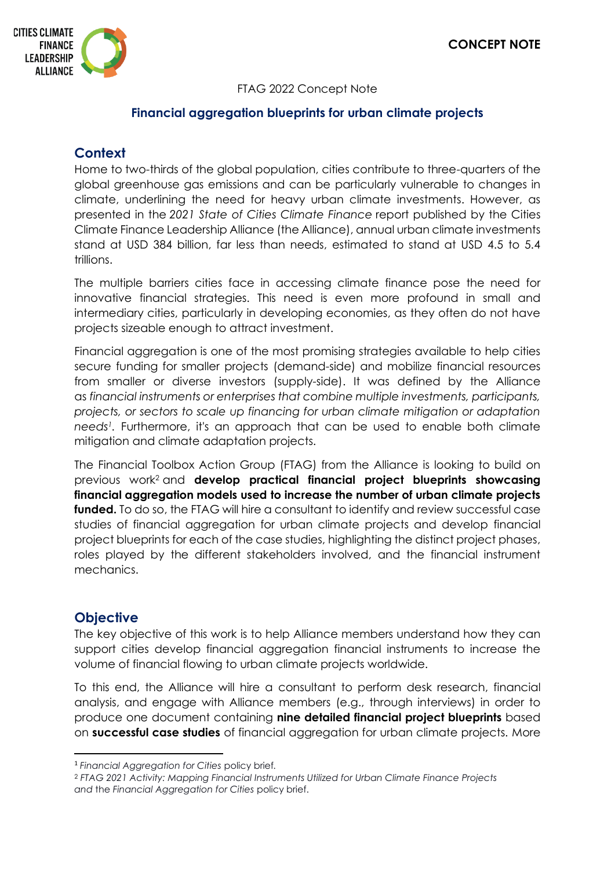

### FTAG 2022 Concept Note

## **Financial aggregation blueprints for urban climate projects**

# **Context**

Home to two-thirds of the global population, cities contribute to three-quarters of the global greenhouse gas emissions and can be particularly vulnerable to changes in climate, underlining the need for heavy urban climate investments. However, as presented in the *2021 State of Cities Climate Finance* report published by the Cities Climate Finance Leadership Alliance (the Alliance), annual urban climate investments stand at USD 384 billion, far less than needs, estimated to stand at USD 4.5 to 5.4 trillions.

The multiple barriers cities face in accessing climate finance pose the need for innovative financial strategies. This need is even more profound in small and intermediary cities, particularly in developing economies, as they often do not have projects sizeable enough to attract investment.

Financial aggregation is one of the most promising strategies available to help cities secure funding for smaller projects (demand-side) and mobilize financial resources from smaller or diverse investors (supply-side). It was defined by the Alliance as *financial instruments or enterprises that combine multiple investments, participants, projects, or sectors to scale up financing for urban climate mitigation or adaptation needs<sup>1</sup> .* Furthermore, it's an approach that can be used to enable both climate mitigation and climate adaptation projects.

The Financial Toolbox Action Group (FTAG) from the Alliance is looking to build on previous work<sup>2</sup> and **develop practical financial project blueprints showcasing financial aggregation models used to increase the number of urban climate projects funded.** To do so, the FTAG will hire a consultant to identify and review successful case studies of financial aggregation for urban climate projects and develop financial project blueprints for each of the case studies, highlighting the distinct project phases, roles played by the different stakeholders involved, and the financial instrument mechanics.

## **Objective**

The key objective of this work is to help Alliance members understand how they can support cities develop financial aggregation financial instruments to increase the volume of financial flowing to urban climate projects worldwide.

To this end, the Alliance will hire a consultant to perform desk research, financial analysis, and engage with Alliance members (e.g., through interviews) in order to produce one document containing **nine detailed financial project blueprints** based on **successful case studies** of financial aggregation for urban climate projects. More

<sup>1</sup> *Financial Aggregation for Cities* policy brief*.*

<sup>2</sup> *FTAG 2021 Activity: Mapping Financial Instruments Utilized for Urban Climate Finance Projects and* the *Financial Aggregation for Cities* policy brief.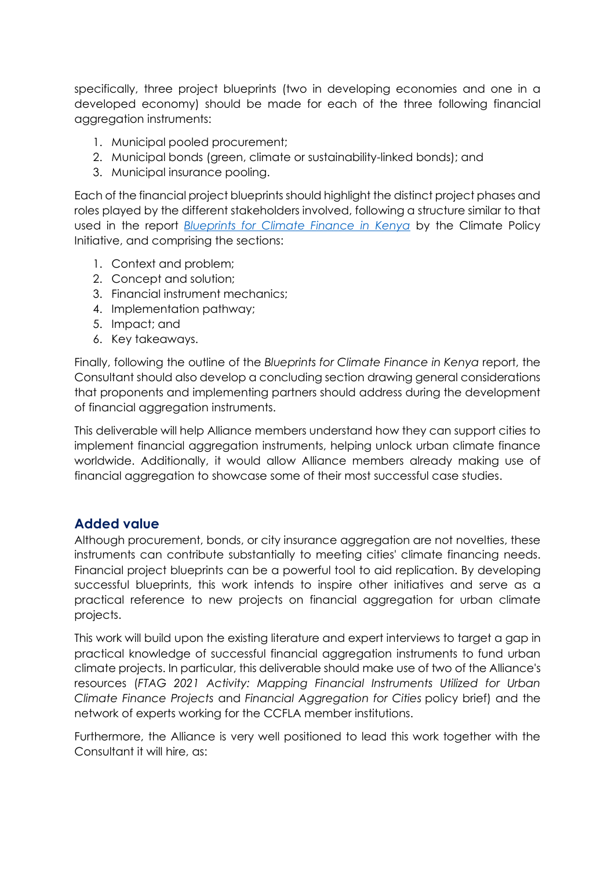specifically, three project blueprints (two in developing economies and one in a developed economy) should be made for each of the three following financial aggregation instruments:

- 1. Municipal pooled procurement;
- 2. Municipal bonds (green, climate or sustainability-linked bonds); and
- 3. Municipal insurance pooling.

Each of the financial project blueprints should highlight the distinct project phases and roles played by the different stakeholders involved, following a structure similar to that used in the report *[Blueprints for Climate Finance in Kenya](https://www.climatepolicyinitiative.org/publication/blueprints-for-climate-finance-in-kenya/)* by the Climate Policy Initiative, and comprising the sections:

- 1. Context and problem;
- 2. Concept and solution;
- 3. Financial instrument mechanics;
- 4. Implementation pathway;
- 5. Impact; and
- 6. Key takeaways.

Finally, following the outline of the *Blueprints for Climate Finance in Kenya* report, the Consultant should also develop a concluding section drawing general considerations that proponents and implementing partners should address during the development of financial aggregation instruments.

This deliverable will help Alliance members understand how they can support cities to implement financial aggregation instruments, helping unlock urban climate finance worldwide. Additionally, it would allow Alliance members already making use of financial aggregation to showcase some of their most successful case studies.

## **Added value**

Although procurement, bonds, or city insurance aggregation are not novelties, these instruments can contribute substantially to meeting cities' climate financing needs. Financial project blueprints can be a powerful tool to aid replication. By developing successful blueprints, this work intends to inspire other initiatives and serve as a practical reference to new projects on financial aggregation for urban climate projects.

This work will build upon the existing literature and expert interviews to target a gap in practical knowledge of successful financial aggregation instruments to fund urban climate projects. In particular, this deliverable should make use of two of the Alliance's resources (*FTAG 2021 Activity: Mapping Financial Instruments Utilized for Urban Climate Finance Projects* and *Financial Aggregation for Cities* policy brief) and the network of experts working for the CCFLA member institutions.

Furthermore, the Alliance is very well positioned to lead this work together with the Consultant it will hire, as: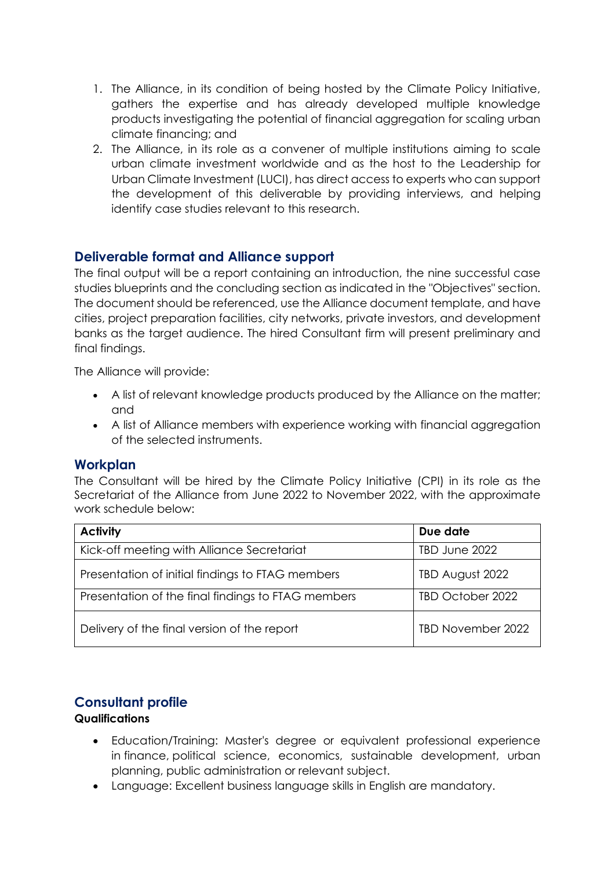- 1. The Alliance, in its condition of being hosted by the Climate Policy Initiative, gathers the expertise and has already developed multiple knowledge products investigating the potential of financial aggregation for scaling urban climate financing; and
- 2. The Alliance, in its role as a convener of multiple institutions aiming to scale urban climate investment worldwide and as the host to the Leadership for Urban Climate Investment (LUCI), has direct access to experts who can support the development of this deliverable by providing interviews, and helping identify case studies relevant to this research.

# **Deliverable format and Alliance support**

The final output will be a report containing an introduction, the nine successful case studies blueprints and the concluding section as indicated in the "Objectives" section. The document should be referenced, use the Alliance document template, and have cities, project preparation facilities, city networks, private investors, and development banks as the target audience. The hired Consultant firm will present preliminary and final findings.

The Alliance will provide:

- A list of relevant knowledge products produced by the Alliance on the matter; and
- A list of Alliance members with experience working with financial aggregation of the selected instruments.

#### **Workplan**

The Consultant will be hired by the Climate Policy Initiative (CPI) in its role as the Secretariat of the Alliance from June 2022 to November 2022, with the approximate work schedule below:

| <b>Activity</b>                                    | Due date          |
|----------------------------------------------------|-------------------|
| Kick-off meeting with Alliance Secretariat         | TBD June 2022     |
| Presentation of initial findings to FTAG members   | TBD August 2022   |
| Presentation of the final findings to FTAG members | TBD October 2022  |
| Delivery of the final version of the report        | TBD November 2022 |

# **Consultant profile**

### **Qualifications**

- Education/Training: Master's degree or equivalent professional experience in finance, political science, economics, sustainable development, urban planning, public administration or relevant subject.
- Language: Excellent business language skills in English are mandatory.